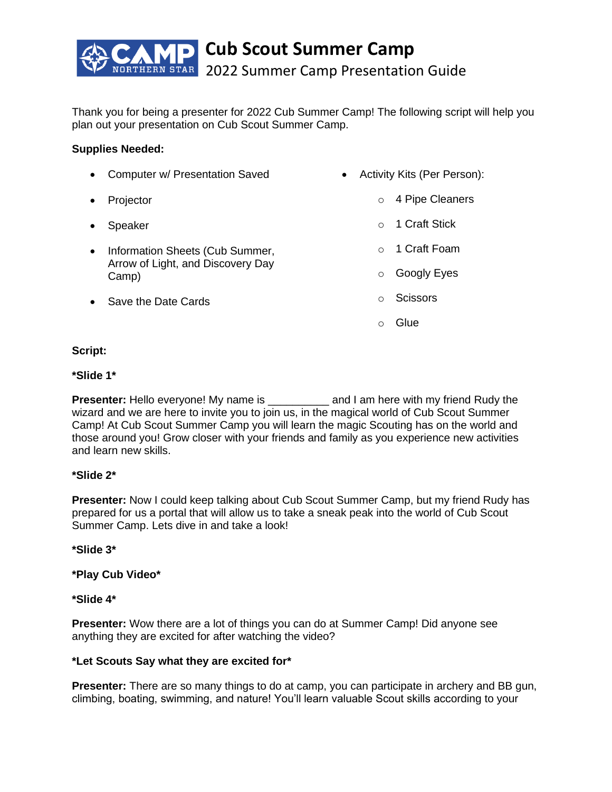

Thank you for being a presenter for 2022 Cub Summer Camp! The following script will help you plan out your presentation on Cub Scout Summer Camp.

# **Supplies Needed:**

| $\bullet$ | <b>Computer w/ Presentation Saved</b>                                         |          | Activity Kits (Per Person): |
|-----------|-------------------------------------------------------------------------------|----------|-----------------------------|
| $\bullet$ | Projector                                                                     | $\circ$  | 4 Pipe Cleaners             |
| $\bullet$ | Speaker                                                                       | $\cap$   | 1 Craft Stick               |
| $\bullet$ | Information Sheets (Cub Summer,<br>Arrow of Light, and Discovery Day<br>Camp) |          | 1 Craft Foam                |
|           |                                                                               | $\Omega$ | Googly Eyes                 |
| $\bullet$ | Save the Date Cards                                                           | $\Omega$ | <b>Scissors</b>             |
|           |                                                                               |          | Glue                        |

# **Script:**

# **\*Slide 1\***

**Presenter:** Hello everyone! My name is \_\_\_\_\_\_\_\_\_\_\_ and I am here with my friend Rudy the wizard and we are here to invite you to join us, in the magical world of Cub Scout Summer Camp! At Cub Scout Summer Camp you will learn the magic Scouting has on the world and those around you! Grow closer with your friends and family as you experience new activities and learn new skills.

# **\*Slide 2\***

**Presenter:** Now I could keep talking about Cub Scout Summer Camp, but my friend Rudy has prepared for us a portal that will allow us to take a sneak peak into the world of Cub Scout Summer Camp. Lets dive in and take a look!

## **\*Slide 3\***

**\*Play Cub Video\***

# **\*Slide 4\***

**Presenter:** Wow there are a lot of things you can do at Summer Camp! Did anyone see anything they are excited for after watching the video?

## **\*Let Scouts Say what they are excited for\***

**Presenter:** There are so many things to do at camp, you can participate in archery and BB gun, climbing, boating, swimming, and nature! You'll learn valuable Scout skills according to your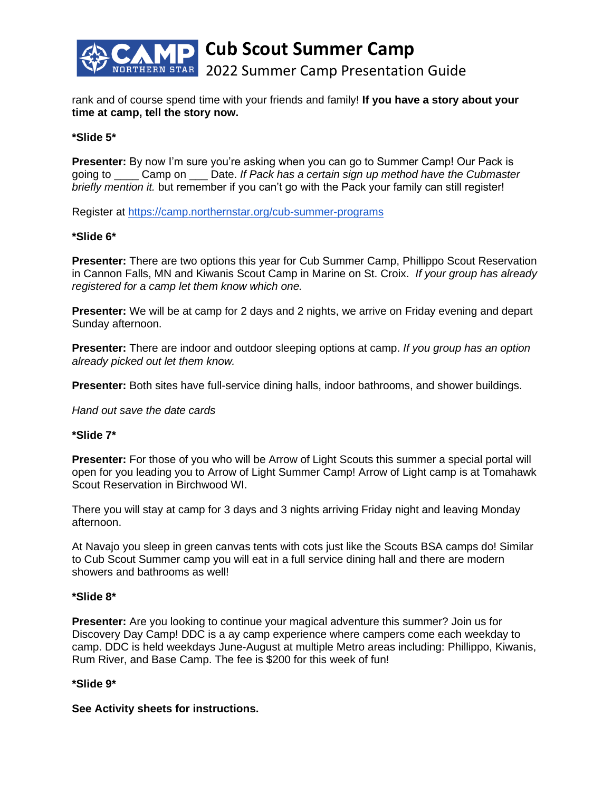

rank and of course spend time with your friends and family! **If you have a story about your time at camp, tell the story now.** 

## **\*Slide 5\***

**Presenter:** By now I'm sure you're asking when you can go to Summer Camp! Our Pack is going to \_\_\_\_ Camp on \_\_\_ Date. *If Pack has a certain sign up method have the Cubmaster briefly mention it.* but remember if you can't go with the Pack your family can still register!

Register at<https://camp.northernstar.org/cub-summer-programs>

## **\*Slide 6\***

**Presenter:** There are two options this year for Cub Summer Camp, Phillippo Scout Reservation in Cannon Falls, MN and Kiwanis Scout Camp in Marine on St. Croix. *If your group has already registered for a camp let them know which one.* 

**Presenter:** We will be at camp for 2 days and 2 nights, we arrive on Friday evening and depart Sunday afternoon.

**Presenter:** There are indoor and outdoor sleeping options at camp. *If you group has an option already picked out let them know.* 

**Presenter:** Both sites have full-service dining halls, indoor bathrooms, and shower buildings.

*Hand out save the date cards*

## **\*Slide 7\***

**Presenter:** For those of you who will be Arrow of Light Scouts this summer a special portal will open for you leading you to Arrow of Light Summer Camp! Arrow of Light camp is at Tomahawk Scout Reservation in Birchwood WI.

There you will stay at camp for 3 days and 3 nights arriving Friday night and leaving Monday afternoon.

At Navajo you sleep in green canvas tents with cots just like the Scouts BSA camps do! Similar to Cub Scout Summer camp you will eat in a full service dining hall and there are modern showers and bathrooms as well!

## **\*Slide 8\***

**Presenter:** Are you looking to continue your magical adventure this summer? Join us for Discovery Day Camp! DDC is a ay camp experience where campers come each weekday to camp. DDC is held weekdays June-August at multiple Metro areas including: Phillippo, Kiwanis, Rum River, and Base Camp. The fee is \$200 for this week of fun!

## **\*Slide 9\***

**See Activity sheets for instructions.**